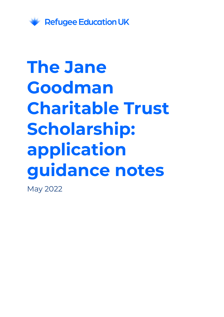

# **The Jane Goodman Charitable Trust Scholarship: application guidance notes**

May 2022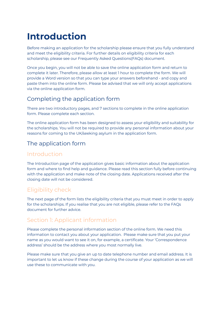# **Introduction**

Before making an application for the scholarship please ensure that you fully understand and meet the eligibility criteria. For further details on eligibility criteria for each scholarship, please see our Frequently Asked Questions(FAQs) document.

Once you begin, you will not be able to save the online application form and return to complete it later. Therefore, please allow at least 1 hour to complete the form. We will provide a Word version so that you can type your answers beforehand - and copy and paste them into the online form. Please be advised that we will only accept applications via the online application form.

# Completing the application form

There are two introductory pages, and 7 sections to complete in the online application form. Please complete each section.

The online application form has been designed to assess your eligibility and suitability for the scholarships. You will not be required to provide any personal information about your reasons for coming to the UK/seeking asylum in the application form.

# The application form

#### Introduction

The Introduction page of the application gives basic information about the application form and where to find help and guidance. Please read this section fully before continuing with the application and make note of the closing date. Applications received after the closing date will not be considered.

# Eligibility check

The next page of the form lists the eligibility criteria that you must meet in order to apply for the scholarships. If you realise that you are not eligible, please refer to the FAQs document for further advice.

# Section 1: Applicant information

Please complete the personal information section of the online form. We need this information to contact you about your application. Please make sure that you put your name as you would want to see it on, for example, a certificate. Your 'Correspondence address' should be the address where you most normally live.

Please make sure that you give an up to date telephone number and email address. It is important to let us know if these change during the course of your application as we will use these to communicate with you.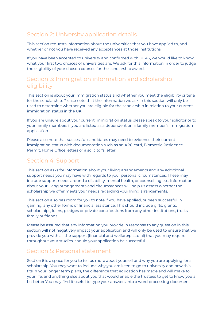# Section 2: University application details

This section requests information about the universities that you have applied to, and whether or not you have received any acceptances at those institutions.

If you have been accepted to university and confirmed with UCAS, we would like to know what your first two choices of universities are. We ask for this information in order to judge the eligibility of your chosen courses for the scholarship award.

#### Section 3: Immigration information and scholarship eligibility

This section is about your immigration status and whether you meet the eligibility criteria for the scholarship. Please note that the information we ask in this section will only be used to determine whether you are eligible for the scholarship in relation to your current immigration status in the UK.

If you are unsure about your current immigration status please speak to your solicitor or to your family members if you are listed as a dependent on a family member's immigration application.

Please also note that successful candidates may need to evidence their current immigration status with documentation such as an ARC card, Biometric Residence Permit, Home Office letters or a solicitor's letter.

#### Section 4: Support

This section asks for information about your living arrangements and any additional support needs you may have with regards to your personal circumstances. These may include support needs around a disability, mental health, or counselling etc. Information about your living arrangements and circumstances will help us assess whether the scholarship we offer meets your needs regarding your living arrangements.

This section also has room for you to note if you have applied, or been successful in gaining, any other forms of financial assistance. This should include gifts, grants, scholarships, loans, pledges or private contributions from any other institutions, trusts, family or friends.

Please be assured that any information you provide in response to any question in this section will not negatively impact your application and will only be used to ensure that we provide you with all the support (financial and welfare/pastoral) that you may require throughout your studies, should your application be successful.

#### Section 5: Personal statement

Section 5 is a space for you to tell us more about yourself and why you are applying for a scholarship. You may want to include why you are keen to go to university and how this fits in your longer term plans, the difference that education has made and will make to your life, and anything else about you that would enable the trustees to get to know you a bit better.You may find it useful to type your answers into a word processing document